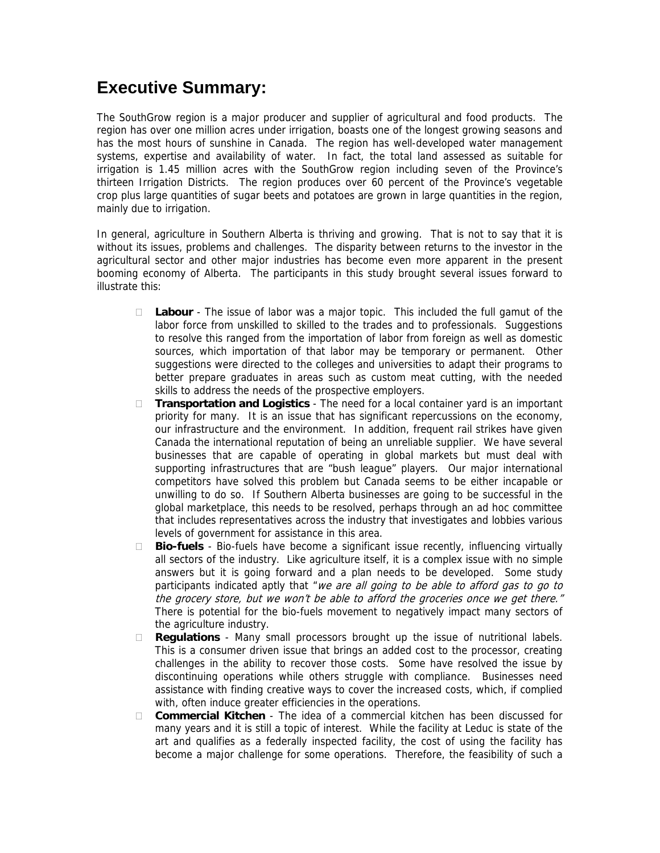## **Executive Summary:**

The SouthGrow region is a major producer and supplier of agricultural and food products. The region has over one million acres under irrigation, boasts one of the longest growing seasons and has the most hours of sunshine in Canada. The region has well-developed water management systems, expertise and availability of water. In fact, the total land assessed as suitable for irrigation is 1.45 million acres with the SouthGrow region including seven of the Province's thirteen Irrigation Districts. The region produces over 60 percent of the Province's vegetable crop plus large quantities of sugar beets and potatoes are grown in large quantities in the region, mainly due to irrigation.

In general, agriculture in Southern Alberta is thriving and growing. That is not to say that it is without its issues, problems and challenges. The disparity between returns to the investor in the agricultural sector and other major industries has become even more apparent in the present booming economy of Alberta. The participants in this study brought several issues forward to illustrate this:

- **Labour** The issue of labor was a major topic. This included the full gamut of the labor force from unskilled to skilled to the trades and to professionals. Suggestions to resolve this ranged from the importation of labor from foreign as well as domestic sources, which importation of that labor may be temporary or permanent. Other suggestions were directed to the colleges and universities to adapt their programs to better prepare graduates in areas such as custom meat cutting, with the needed skills to address the needs of the prospective employers.
- **Transportation and Logistics** The need for a local container yard is an important priority for many. It is an issue that has significant repercussions on the economy, our infrastructure and the environment. In addition, frequent rail strikes have given Canada the international reputation of being an unreliable supplier. We have several businesses that are capable of operating in global markets but must deal with supporting infrastructures that are "bush league" players. Our major international competitors have solved this problem but Canada seems to be either incapable or unwilling to do so. If Southern Alberta businesses are going to be successful in the global marketplace, this needs to be resolved, perhaps through an ad hoc committee that includes representatives across the industry that investigates and lobbies various levels of government for assistance in this area.
- **Bio-fuels** Bio-fuels have become a significant issue recently, influencing virtually all sectors of the industry. Like agriculture itself, it is a complex issue with no simple answers but it is going forward and a plan needs to be developed. Some study participants indicated aptly that "we are all going to be able to afford gas to go to the grocery store, but we won't be able to afford the groceries once we get there." There is potential for the bio-fuels movement to negatively impact many sectors of the agriculture industry.
- **Regulations** Many small processors brought up the issue of nutritional labels. This is a consumer driven issue that brings an added cost to the processor, creating challenges in the ability to recover those costs. Some have resolved the issue by discontinuing operations while others struggle with compliance. Businesses need assistance with finding creative ways to cover the increased costs, which, if complied with, often induce greater efficiencies in the operations.
- **Commercial Kitchen**  The idea of a commercial kitchen has been discussed for many years and it is still a topic of interest. While the facility at Leduc is state of the art and qualifies as a federally inspected facility, the cost of using the facility has become a major challenge for some operations. Therefore, the feasibility of such a